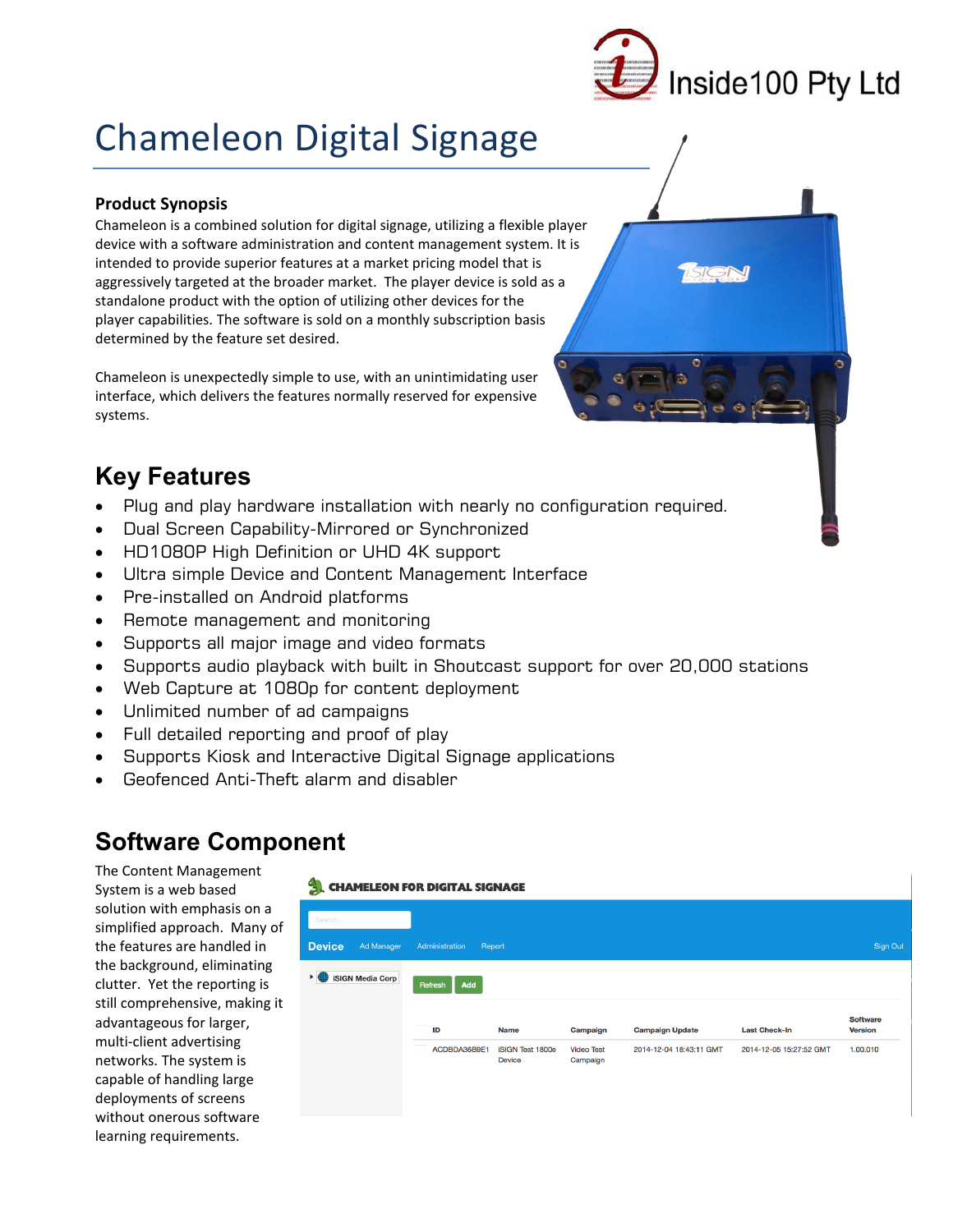

# **Chameleon Digital Signage**

## **Product Synopsis**

Chameleon is a combined solution for digital signage, utilizing a flexible player device with a software administration and content management system. It is intended to provide superior features at a market pricing model that is aggressively targeted at the broader market. The player device is sold as a standalone product with the option of utilizing other devices for the player capabilities. The software is sold on a monthly subscription basis determined by the feature set desired.

Chameleon is unexpectedly simple to use, with an unintimidating user interface, which delivers the features normally reserved for expensive systems.

## **Key Features**

- Plug and play hardware installation with nearly no configuration required.  $\bullet$
- Dual Screen Capability-Mirrored or Synchronized  $\bullet$
- HD1080P High Definition or UHD 4K support  $\bullet$
- Ultra simple Device and Content Management Interface
- Pre-installed on Android platforms
- Remote management and monitoring  $\bullet$
- Supports all major image and video formats  $\bullet$
- Supports audio playback with built in Shoutcast support for over 20,000 stations  $\bullet$
- Web Capture at 1080p for content deployment
- Unlimited number of ad campaigns  $\bullet$
- Full detailed reporting and proof of play
- Supports Kiosk and Interactive Digital Signage applications  $\bullet$
- Geofenced Anti-Theft alarm and disabler  $\bullet$

## **Software Component**

The Content Management System is a web based solution with emphasis on a simplified approach. Many of the features are handled in the background, eliminating clutter. Yet the reporting is still comprehensive, making it advantageous for larger, multi-client advertising networks. The system is capable of handling large deployments of screens without onerous software learning requirements.

#### **CHAMELEON FOR DIGITAL SIGNAGE**

| Search<br><b>Device</b><br>Ad Manager                    | Administration<br>Report |                                          |                               |                         |                         | Sign Out                          |
|----------------------------------------------------------|--------------------------|------------------------------------------|-------------------------------|-------------------------|-------------------------|-----------------------------------|
| <b>iSIGN Media Corp</b><br>$\blacktriangleright$ 16<br>₩ | Add<br>Refresh           |                                          |                               |                         |                         |                                   |
|                                                          | ID                       | <b>Name</b>                              | Campaign                      | <b>Campaign Update</b>  | <b>Last Check-In</b>    | <b>Software</b><br><b>Version</b> |
|                                                          | ACDBDA36B9E1             | <b>iSIGN Test 1800e</b><br><b>Device</b> | <b>Video Test</b><br>Campaign | 2014-12-04 18:43:11 GMT | 2014-12-05 15:27:52 GMT | 1.00.010                          |
|                                                          |                          |                                          |                               |                         |                         |                                   |